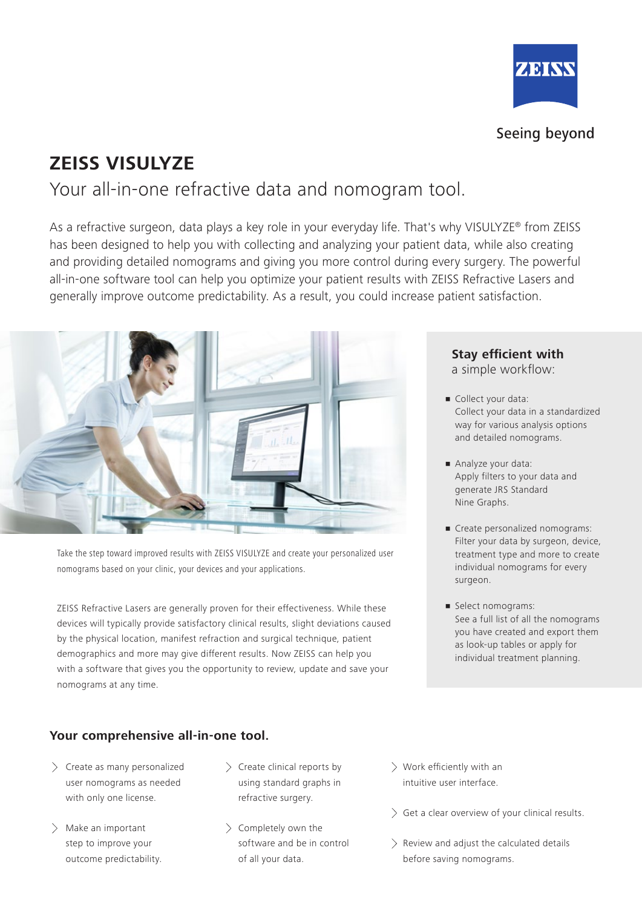

### Seeing beyond

# **ZEISS VISULYZE**

Your all-in-one refractive data and nomogram tool.

As a refractive surgeon, data plays a key role in your everyday life. That's why VISULYZE® from ZEISS has been designed to help you with collecting and analyzing your patient data, while also creating and providing detailed nomograms and giving you more control during every surgery. The powerful all-in-one software tool can help you optimize your patient results with ZEISS Refractive Lasers and generally improve outcome predictability. As a result, you could increase patient satisfaction.



Take the step toward improved results with ZEISS VISULYZE and create your personalized user nomograms based on your clinic, your devices and your applications.

ZEISS Refractive Lasers are generally proven for their effectiveness. While these devices will typically provide satisfactory clinical results, slight deviations caused by the physical location, manifest refraction and surgical technique, patient demographics and more may give different results. Now ZEISS can help you with a software that gives you the opportunity to review, update and save your nomograms at any time.

#### **Your comprehensive all-in-one tool.**

- $\geq$  Create as many personalized user nomograms as needed with only one license.
- $>$  Make an important step to improve your outcome predictability.
- $\geq$  Create clinical reports by using standard graphs in refractive surgery.
- $\geq$  Completely own the software and be in control of all your data.
- Work efficiently with an intuitive user interface.
- $\geq$  Get a clear overview of your clinical results.
- $\geq$  Review and adjust the calculated details before saving nomograms.

#### **Stay efficient with**

a simple workflow:

- **Collect your data:** Collect your data in a standardized way for various analysis options and detailed nomograms.
- Analyze your data: Apply filters to your data and generate JRS Standard Nine Graphs.
- **Create personalized nomograms:** Filter your data by surgeon, device, treatment type and more to create individual nomograms for every surgeon.
- **•** Select nomograms: See a full list of all the nomograms you have created and export them as look-up tables or apply for individual treatment planning.